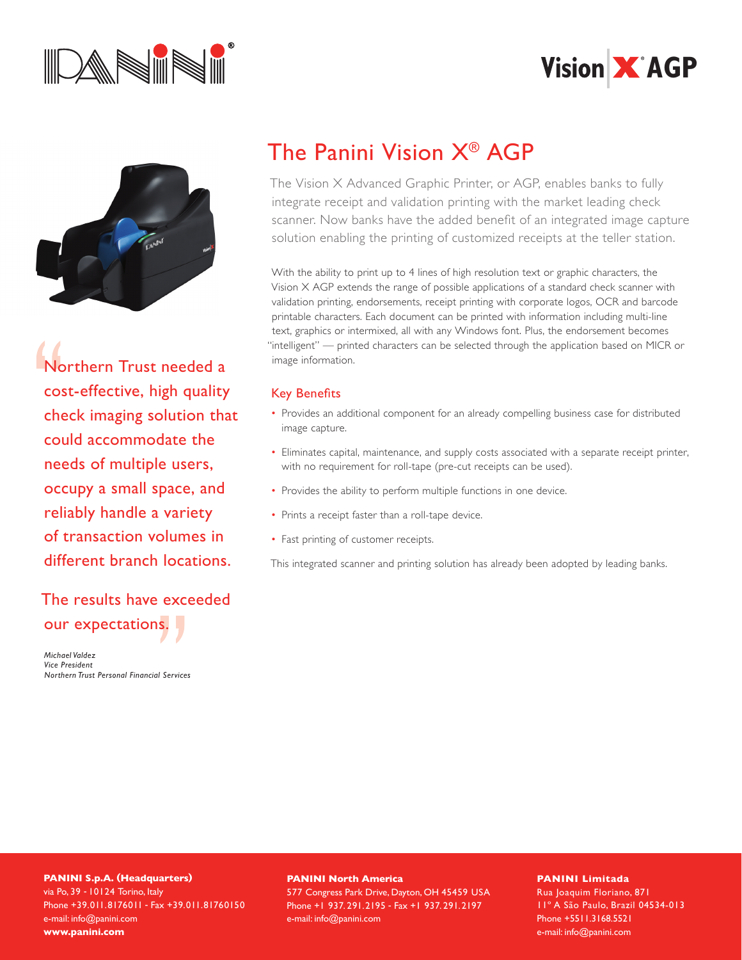





Northern Trust needed a cost-effective, high quality check imaging solution that could accommodate the needs of multiple users, occupy a small space, and reliably handle a variety of transaction volumes in different branch locations.

### The results have exceeded our expectations.

*Michael Valdez Vice President Northern Trust Personal Financial Services*

## The Panini Vision X® AGP

The Vision X Advanced Graphic Printer, or AGP, enables banks to fully integrate receipt and validation printing with the market leading check scanner. Now banks have the added benefit of an integrated image capture solution enabling the printing of customized receipts at the teller station.

With the ability to print up to 4 lines of high resolution text or graphic characters, the Vision X AGP extends the range of possible applications of a standard check scanner with validation printing, endorsements, receipt printing with corporate logos, OCR and barcode printable characters. Each document can be printed with information including multi-line text, graphics or intermixed, all with any Windows font. Plus, the endorsement becomes "intelligent" — printed characters can be selected through the application based on MICR or image information.

### Key Benefits

- Provides an additional component for an already compelling business case for distributed image capture.
- Eliminates capital, maintenance, and supply costs associated with a separate receipt printer, with no requirement for roll-tape (pre-cut receipts can be used).
- Provides the ability to perform multiple functions in one device.
- Prints a receipt faster than a roll-tape device.
- Fast printing of customer receipts.

This integrated scanner and printing solution has already been adopted by leading banks.

#### **PANINI S.p.A. (Headquarters)** via Po, 39 - 10124 Torino, Italy Phone +39.011.8176011 - Fax +39.011.81760150 e-mail: info@panini.com **www.panini.com**

#### **PANINI North America**

577 Congress Park Drive, Dayton, OH 45459 USA Phone +1 937. 291.2195 - Fax +1 937. 291.2197 e-mail: info@panini.com

#### **PANINI Limitada**

Rua Joaquim Floriano, 871 11º A São Paulo, Brazil 04534-013 Phone +5511.3168.5521 e-mail: info@panini.com